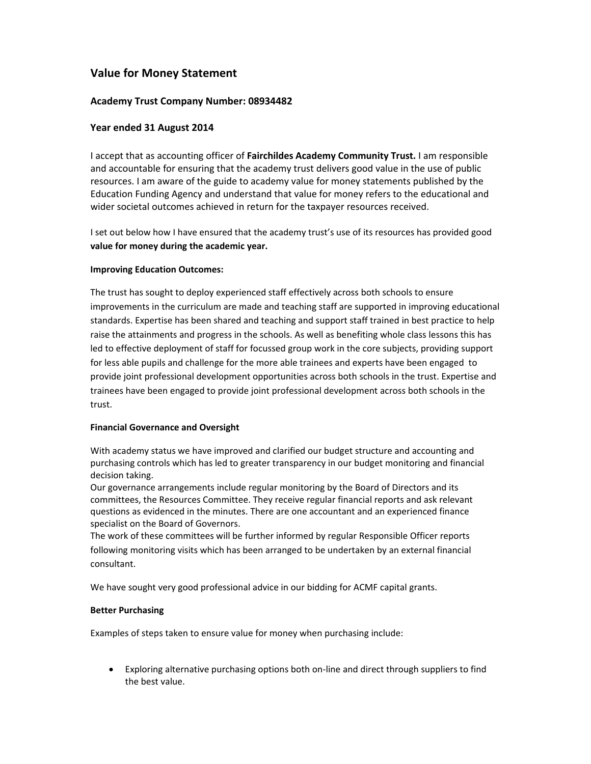# **Value for Money Statement**

### **Academy Trust Company Number: 08934482**

## **Year ended 31 August 2014**

I accept that as accounting officer of **Fairchildes Academy Community Trust.** I am responsible and accountable for ensuring that the academy trust delivers good value in the use of public resources. I am aware of the guide to academy value for money statements published by the Education Funding Agency and understand that value for money refers to the educational and wider societal outcomes achieved in return for the taxpayer resources received.

I set out below how I have ensured that the academy trust's use of its resources has provided good **value for money during the academic year.**

### **Improving Education Outcomes:**

The trust has sought to deploy experienced staff effectively across both schools to ensure improvements in the curriculum are made and teaching staff are supported in improving educational standards. Expertise has been shared and teaching and support staff trained in best practice to help raise the attainments and progress in the schools. As well as benefiting whole class lessons this has led to effective deployment of staff for focussed group work in the core subjects, providing support for less able pupils and challenge for the more able trainees and experts have been engaged to provide joint professional development opportunities across both schools in the trust. Expertise and trainees have been engaged to provide joint professional development across both schools in the trust.

#### **Financial Governance and Oversight**

With academy status we have improved and clarified our budget structure and accounting and purchasing controls which has led to greater transparency in our budget monitoring and financial decision taking.

Our governance arrangements include regular monitoring by the Board of Directors and its committees, the Resources Committee. They receive regular financial reports and ask relevant questions as evidenced in the minutes. There are one accountant and an experienced finance specialist on the Board of Governors.

The work of these committees will be further informed by regular Responsible Officer reports following monitoring visits which has been arranged to be undertaken by an external financial consultant.

We have sought very good professional advice in our bidding for ACMF capital grants.

### **Better Purchasing**

Examples of steps taken to ensure value for money when purchasing include:

■ Exploring alternative purchasing options both on-line and direct through suppliers to find the best value.